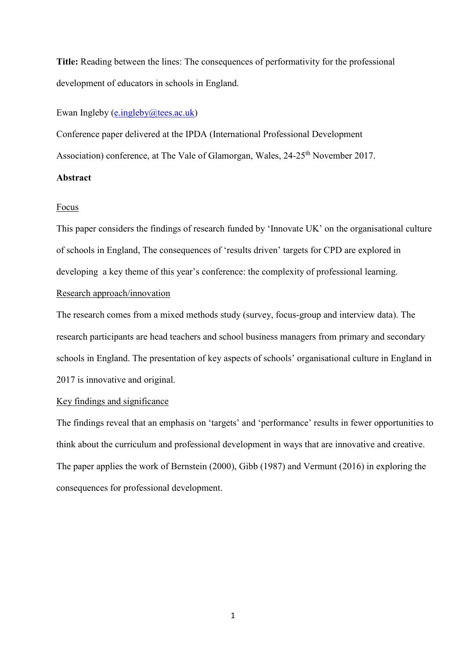**Title:** Reading between the lines: The consequences of performativity for the professional development of educators in schools in England.

Ewan Ingleby [\(e.ingleby@tees.ac.uk\)](mailto:e.ingleby@tees.ac.uk)

Conference paper delivered at the IPDA (International Professional Development

Association) conference, at The Vale of Glamorgan, Wales, 24-25<sup>th</sup> November 2017.

## **Abstract**

## Focus

This paper considers the findings of research funded by 'Innovate UK' on the organisational culture of schools in England, The consequences of 'results driven' targets for CPD are explored in developing a key theme of this year's conference: the complexity of professional learning.

## Research approach/innovation

The research comes from a mixed methods study (survey, focus-group and interview data). The research participants are head teachers and school business managers from primary and secondary schools in England. The presentation of key aspects of schools' organisational culture in England in 2017 is innovative and original.

## Key findings and significance

The findings reveal that an emphasis on 'targets' and 'performance' results in fewer opportunities to think about the curriculum and professional development in ways that are innovative and creative. The paper applies the work of Bernstein (2000), Gibb (1987) and Vermunt (2016) in exploring the consequences for professional development.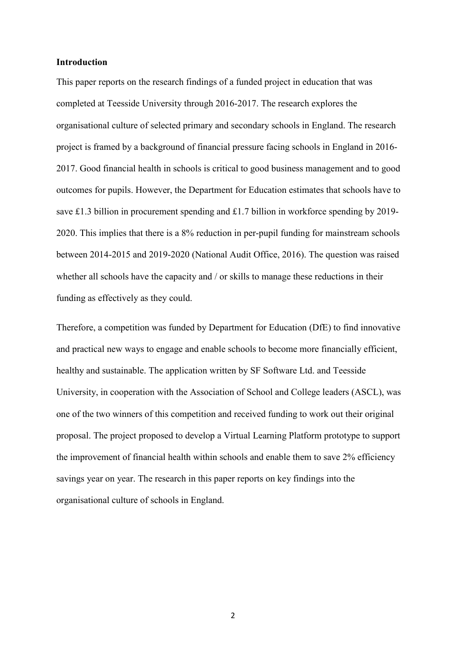## **Introduction**

This paper reports on the research findings of a funded project in education that was completed at Teesside University through 2016-2017. The research explores the organisational culture of selected primary and secondary schools in England. The research project is framed by a background of financial pressure facing schools in England in 2016- 2017. Good financial health in schools is critical to good business management and to good outcomes for pupils. However, the Department for Education estimates that schools have to save £1.3 billion in procurement spending and £1.7 billion in workforce spending by 2019- 2020. This implies that there is a 8% reduction in per-pupil funding for mainstream schools between 2014-2015 and 2019-2020 (National Audit Office, 2016). The question was raised whether all schools have the capacity and / or skills to manage these reductions in their funding as effectively as they could.

Therefore, a competition was funded by [Department for Education](https://www.gov.uk/government/organisations/department-for-education) (DfE) to find innovative and practical new ways to engage and enable schools to become more financially efficient, healthy and sustainable. The application written by SF Software Ltd. and Teesside University, in cooperation with the Association of School and College leaders (ASCL), was one of the two winners of this competition and received funding to work out their original proposal. The project proposed to develop a Virtual Learning Platform prototype to support the improvement of financial health within schools and enable them to save 2% efficiency savings year on year. The research in this paper reports on key findings into the organisational culture of schools in England.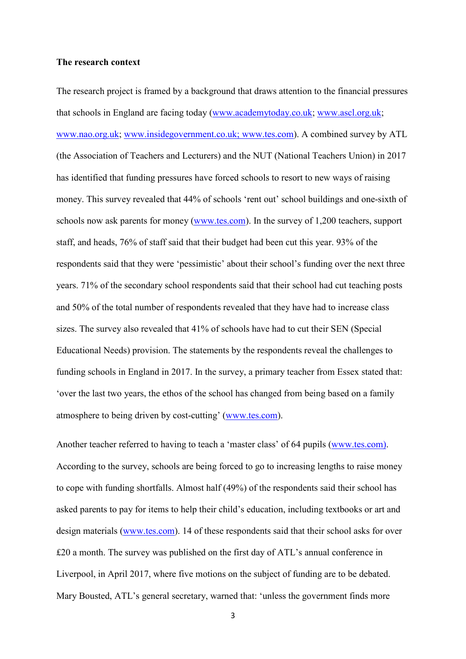#### **The research context**

The research project is framed by a background that draws attention to the financial pressures that schools in England are facing today [\(www.academytoday.co.uk;](http://www.academytoday.co.uk/) [www.ascl.org.uk;](http://www.ascl.org.uk/) [www.nao.org.uk;](http://www.nao.org.uk/) [www.insidegovernment.co.uk;](http://www.insidegovernment.co.uk/) www.tes.com). A combined survey by ATL (the Association of Teachers and Lecturers) and the NUT (National Teachers Union) in 2017 has identified that funding pressures have forced schools to resort to new ways of raising money. This survey revealed that 44% of schools 'rent out' school buildings and one-sixth of schools now ask parents for money [\(www.tes.com\)](http://www.tes.com/). In the survey of 1,200 teachers, support staff, and heads, 76% of staff said that their budget had been cut this year. 93% of the respondents said that they were 'pessimistic' about their school's funding over the next three years. 71% of the secondary school respondents said that their school had cut teaching posts and 50% of the total number of respondents revealed that they have had to increase class sizes. The survey also revealed that 41% of schools have had to cut their SEN (Special Educational Needs) provision. The statements by the respondents reveal the challenges to funding schools in England in 2017. In the survey, a primary teacher from Essex stated that: 'over the last two years, the ethos of the school has changed from being based on a family atmosphere to being driven by cost-cutting' [\(www.tes.com\)](http://www.tes.com/).

Another teacher referred to having to teach a 'master class' of 64 pupils [\(www.tes.com\)](http://www.tes.com/). According to the survey, schools are being forced to go to increasing lengths to raise money to cope with funding shortfalls. Almost half (49%) of the respondents said their school has asked parents to pay for items to help their child's education, including textbooks or art and design materials [\(www.tes.com\)](http://www.tes.com/). 14 of these respondents said that their school asks for over £20 a month. The survey was published on the first day of ATL's annual conference in Liverpool, in April 2017, where five motions on the subject of funding are to be debated. Mary Bousted, ATL's general secretary, warned that: 'unless the government finds more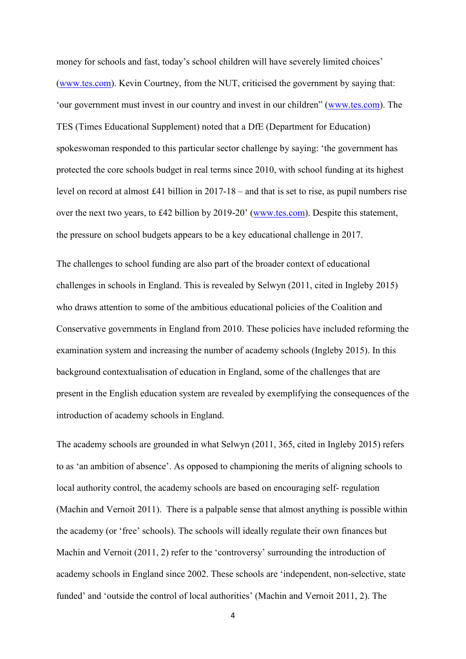money for schools and fast, today's school children will have severely limited choices' [\(www.tes.com\)](http://www.tes.com/). Kevin Courtney, from the NUT, criticised the government by saying that: 'our government must invest in our country and invest in our children" [\(www.tes.com\)](http://www.tes.com/). The TES (Times Educational Supplement) noted that a DfE (Department for Education) spokeswoman responded to this particular sector challenge by saying: 'the government has protected the core schools budget in real terms since 2010, with school funding at its highest level on record at almost £41 billion in 2017-18 – and that is set to rise, as pupil numbers rise over the next two years, to £42 billion by 2019-20' [\(www.tes.com\)](http://www.tes.com/). Despite this statement, the pressure on school budgets appears to be a key educational challenge in 2017.

The challenges to school funding are also part of the broader context of educational challenges in schools in England. This is revealed by Selwyn (2011, cited in Ingleby 2015) who draws attention to some of the ambitious educational policies of the Coalition and Conservative governments in England from 2010. These policies have included reforming the examination system and increasing the number of academy schools (Ingleby 2015). In this background contextualisation of education in England, some of the challenges that are present in the English education system are revealed by exemplifying the consequences of the introduction of academy schools in England.

The academy schools are grounded in what Selwyn (2011, 365, cited in Ingleby 2015) refers to as 'an ambition of absence'. As opposed to championing the merits of aligning schools to local authority control, the academy schools are based on encouraging self- regulation (Machin and Vernoit 2011). There is a palpable sense that almost anything is possible within the academy (or 'free' schools). The schools will ideally regulate their own finances but Machin and Vernoit (2011, 2) refer to the 'controversy' surrounding the introduction of academy schools in England since 2002. These schools are 'independent, non-selective, state funded' and 'outside the control of local authorities' (Machin and Vernoit 2011, 2). The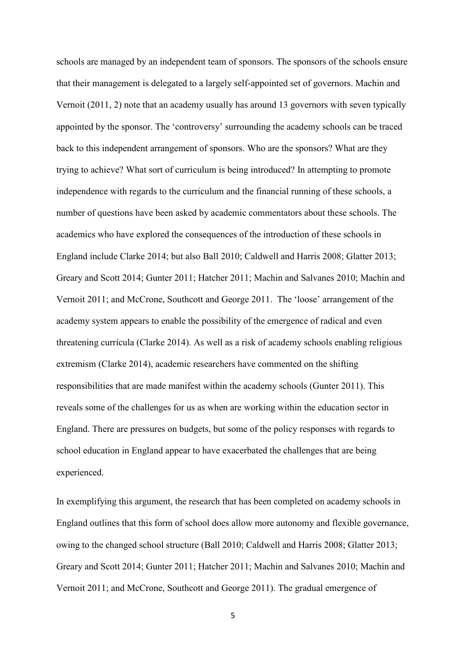schools are managed by an independent team of sponsors. The sponsors of the schools ensure that their management is delegated to a largely self-appointed set of governors. Machin and Vernoit (2011, 2) note that an academy usually has around 13 governors with seven typically appointed by the sponsor. The 'controversy' surrounding the academy schools can be traced back to this independent arrangement of sponsors. Who are the sponsors? What are they trying to achieve? What sort of curriculum is being introduced? In attempting to promote independence with regards to the curriculum and the financial running of these schools, a number of questions have been asked by academic commentators about these schools. The academics who have explored the consequences of the introduction of these schools in England include Clarke 2014; but also Ball 2010; Caldwell and Harris 2008; Glatter 2013; Greary and Scott 2014; Gunter 2011; Hatcher 2011; Machin and Salvanes 2010; Machin and Vernoit 2011; and McCrone, Southcott and George 2011. The 'loose' arrangement of the academy system appears to enable the possibility of the emergence of radical and even threatening curricula (Clarke 2014). As well as a risk of academy schools enabling religious extremism (Clarke 2014), academic researchers have commented on the shifting responsibilities that are made manifest within the academy schools (Gunter 2011). This reveals some of the challenges for us as when are working within the education sector in England. There are pressures on budgets, but some of the policy responses with regards to school education in England appear to have exacerbated the challenges that are being experienced.

In exemplifying this argument, the research that has been completed on academy schools in England outlines that this form of school does allow more autonomy and flexible governance, owing to the changed school structure (Ball 2010; Caldwell and Harris 2008; Glatter 2013; Greary and Scott 2014; Gunter 2011; Hatcher 2011; Machin and Salvanes 2010; Machin and Vernoit 2011; and McCrone, Southcott and George 2011). The gradual emergence of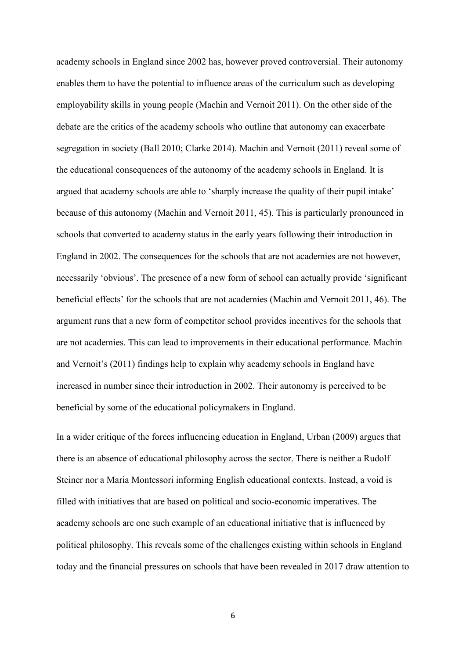academy schools in England since 2002 has, however proved controversial. Their autonomy enables them to have the potential to influence areas of the curriculum such as developing employability skills in young people (Machin and Vernoit 2011). On the other side of the debate are the critics of the academy schools who outline that autonomy can exacerbate segregation in society (Ball 2010; Clarke 2014). Machin and Vernoit (2011) reveal some of the educational consequences of the autonomy of the academy schools in England. It is argued that academy schools are able to 'sharply increase the quality of their pupil intake' because of this autonomy (Machin and Vernoit 2011, 45). This is particularly pronounced in schools that converted to academy status in the early years following their introduction in England in 2002. The consequences for the schools that are not academies are not however, necessarily 'obvious'. The presence of a new form of school can actually provide 'significant beneficial effects' for the schools that are not academies (Machin and Vernoit 2011, 46). The argument runs that a new form of competitor school provides incentives for the schools that are not academies. This can lead to improvements in their educational performance. Machin and Vernoit's (2011) findings help to explain why academy schools in England have increased in number since their introduction in 2002. Their autonomy is perceived to be beneficial by some of the educational policymakers in England.

In a wider critique of the forces influencing education in England, Urban (2009) argues that there is an absence of educational philosophy across the sector. There is neither a Rudolf Steiner nor a Maria Montessori informing English educational contexts. Instead, a void is filled with initiatives that are based on political and socio-economic imperatives. The academy schools are one such example of an educational initiative that is influenced by political philosophy. This reveals some of the challenges existing within schools in England today and the financial pressures on schools that have been revealed in 2017 draw attention to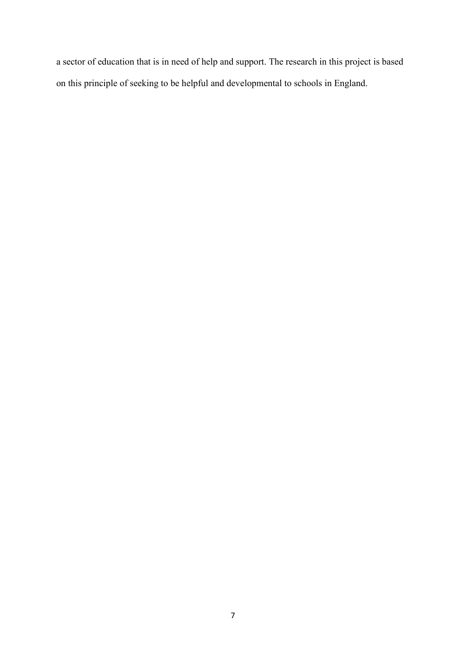a sector of education that is in need of help and support. The research in this project is based on this principle of seeking to be helpful and developmental to schools in England.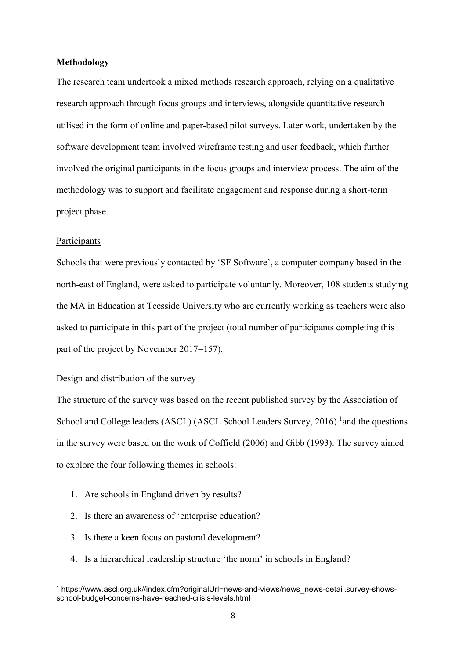## **Methodology**

The research team undertook a mixed methods research approach, relying on a qualitative research approach through focus groups and interviews, alongside quantitative research utilised in the form of online and paper-based pilot surveys. Later work, undertaken by the software development team involved wireframe testing and user feedback, which further involved the original participants in the focus groups and interview process. The aim of the methodology was to support and facilitate engagement and response during a short-term project phase.

#### Participants

 $\overline{a}$ 

Schools that were previously contacted by 'SF Software', a computer company based in the north-east of England, were asked to participate voluntarily. Moreover, 108 students studying the MA in Education at Teesside University who are currently working as teachers were also asked to participate in this part of the project (total number of participants completing this part of the project by November 2017=157).

### Design and distribution of the survey

The structure of the survey was based on the recent published survey by the Association of School and College leaders (ASCL) (ASCL School Leaders Survey, 2016) <sup>1</sup> and the questions in the survey were based on the work of Coffield (2006) and Gibb (1993). The survey aimed to explore the four following themes in schools:

- 1. Are schools in England driven by results?
- 2. Is there an awareness of 'enterprise education?
- 3. Is there a keen focus on pastoral development?
- 4. Is a hierarchical leadership structure 'the norm' in schools in England?

<sup>1</sup> https://www.ascl.org.uk//index.cfm?originalUrl=news-and-views/news\_news-detail.survey-showsschool-budget-concerns-have-reached-crisis-levels.html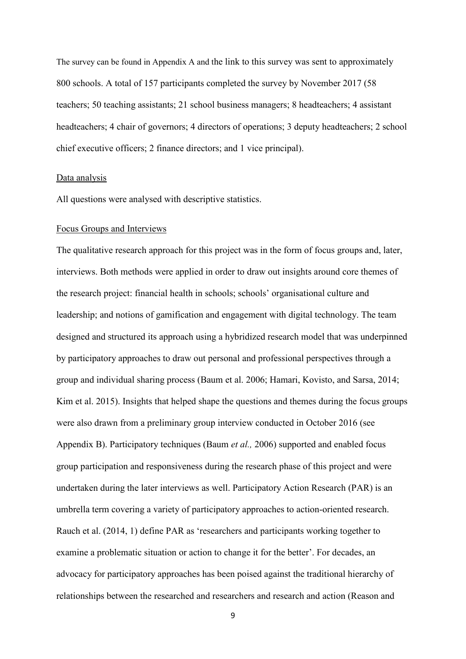The survey can be found in Appendix A and the link to this survey was sent to approximately 800 schools. A total of 157 participants completed the survey by November 2017 (58 teachers; 50 teaching assistants; 21 school business managers; 8 headteachers; 4 assistant headteachers; 4 chair of governors; 4 directors of operations; 3 deputy headteachers; 2 school chief executive officers; 2 finance directors; and 1 vice principal).

#### Data analysis

All questions were analysed with descriptive statistics.

#### Focus Groups and Interviews

The qualitative research approach for this project was in the form of focus groups and, later, interviews. Both methods were applied in order to draw out insights around core themes of the research project: financial health in schools; schools' organisational culture and leadership; and notions of gamification and engagement with digital technology. The team designed and structured its approach using a hybridized research model that was underpinned by participatory approaches to draw out personal and professional perspectives through a group and individual sharing process (Baum et al. 2006; Hamari, Kovisto, and Sarsa, 2014; Kim et al. 2015). Insights that helped shape the questions and themes during the focus groups were also drawn from a preliminary group interview conducted in October 2016 (see Appendix B). Participatory techniques (Baum *et al.,* 2006) supported and enabled focus group participation and responsiveness during the research phase of this project and were undertaken during the later interviews as well. Participatory Action Research (PAR) is an umbrella term covering a variety of participatory approaches to action-oriented research. Rauch et al. (2014, 1) define PAR as 'researchers and participants working together to examine a problematic situation or action to change it for the better'. For decades, an advocacy for participatory approaches has been poised against the traditional hierarchy of relationships between the researched and researchers and research and action (Reason and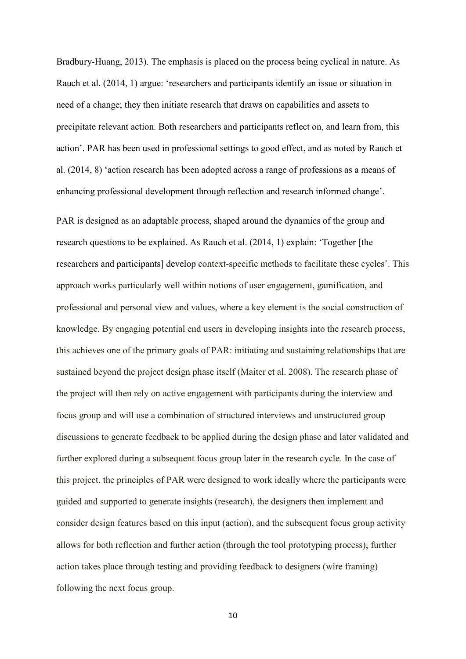Bradbury-Huang, 2013). The emphasis is placed on the process being cyclical in nature. As Rauch et al. (2014, 1) argue: 'researchers and participants identify an issue or situation in need of a change; they then initiate research that draws on capabilities and assets to precipitate relevant action. Both researchers and participants reflect on, and learn from, this action'. PAR has been used in professional settings to good effect, and as noted by Rauch et al. (2014, 8) 'action research has been adopted across a range of professions as a means of enhancing professional development through reflection and research informed change'.

PAR is designed as an adaptable process, shaped around the dynamics of the group and research questions to be explained. As Rauch et al. (2014, 1) explain: 'Together [the researchers and participants] develop context-specific methods to facilitate these cycles'. This approach works particularly well within notions of user engagement, gamification, and professional and personal view and values, where a key element is the social construction of knowledge. By engaging potential end users in developing insights into the research process, this achieves one of the primary goals of PAR: initiating and sustaining relationships that are sustained beyond the project design phase itself (Maiter et al. 2008). The research phase of the project will then rely on active engagement with participants during the interview and focus group and will use a combination of structured interviews and unstructured group discussions to generate feedback to be applied during the design phase and later validated and further explored during a subsequent focus group later in the research cycle. In the case of this project, the principles of PAR were designed to work ideally where the participants were guided and supported to generate insights (research), the designers then implement and consider design features based on this input (action), and the subsequent focus group activity allows for both reflection and further action (through the tool prototyping process); further action takes place through testing and providing feedback to designers (wire framing) following the next focus group.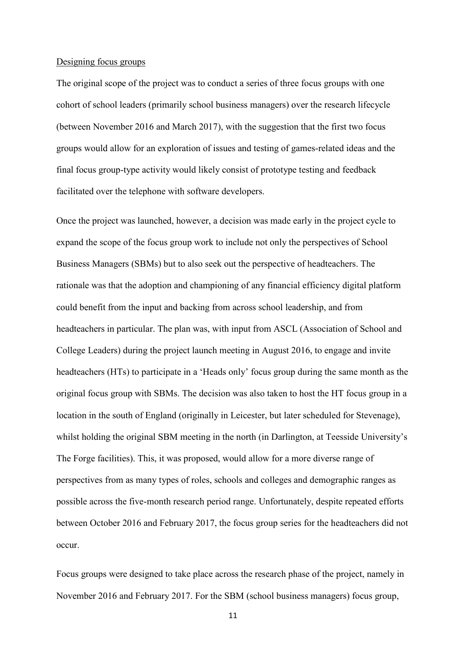#### Designing focus groups

The original scope of the project was to conduct a series of three focus groups with one cohort of school leaders (primarily school business managers) over the research lifecycle (between November 2016 and March 2017), with the suggestion that the first two focus groups would allow for an exploration of issues and testing of games-related ideas and the final focus group-type activity would likely consist of prototype testing and feedback facilitated over the telephone with software developers.

Once the project was launched, however, a decision was made early in the project cycle to expand the scope of the focus group work to include not only the perspectives of School Business Managers (SBMs) but to also seek out the perspective of headteachers. The rationale was that the adoption and championing of any financial efficiency digital platform could benefit from the input and backing from across school leadership, and from headteachers in particular. The plan was, with input from ASCL (Association of School and College Leaders) during the project launch meeting in August 2016, to engage and invite headteachers (HTs) to participate in a 'Heads only' focus group during the same month as the original focus group with SBMs. The decision was also taken to host the HT focus group in a location in the south of England (originally in Leicester, but later scheduled for Stevenage), whilst holding the original SBM meeting in the north (in Darlington, at Teesside University's The Forge facilities). This, it was proposed, would allow for a more diverse range of perspectives from as many types of roles, schools and colleges and demographic ranges as possible across the five-month research period range. Unfortunately, despite repeated efforts between October 2016 and February 2017, the focus group series for the headteachers did not occur.

Focus groups were designed to take place across the research phase of the project, namely in November 2016 and February 2017. For the SBM (school business managers) focus group,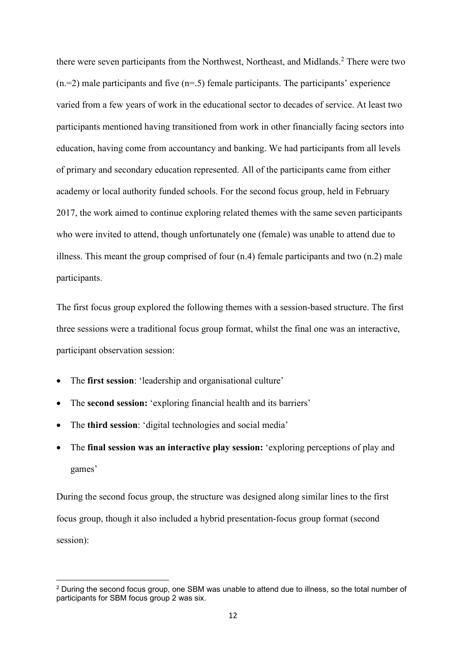there were seven participants from the Northwest, Northeast, and Midlands.<sup>2</sup> There were two  $(n=2)$  male participants and five  $(n=5)$  female participants. The participants' experience varied from a few years of work in the educational sector to decades of service. At least two participants mentioned having transitioned from work in other financially facing sectors into education, having come from accountancy and banking. We had participants from all levels of primary and secondary education represented. All of the participants came from either academy or local authority funded schools. For the second focus group, held in February 2017, the work aimed to continue exploring related themes with the same seven participants who were invited to attend, though unfortunately one (female) was unable to attend due to illness. This meant the group comprised of four (n.4) female participants and two (n.2) male participants.

The first focus group explored the following themes with a session-based structure. The first three sessions were a traditional focus group format, whilst the final one was an interactive, participant observation session:

- The **first session**: 'leadership and organisational culture'
- The **second session:** 'exploring financial health and its barriers'
- The **third session**: 'digital technologies and social media'

 $\overline{a}$ 

• The **final session was an interactive play session:** 'exploring perceptions of play and games'

During the second focus group, the structure was designed along similar lines to the first focus group, though it also included a hybrid presentation-focus group format (second session):

<sup>&</sup>lt;sup>2</sup> During the second focus group, one SBM was unable to attend due to illness, so the total number of participants for SBM focus group 2 was six.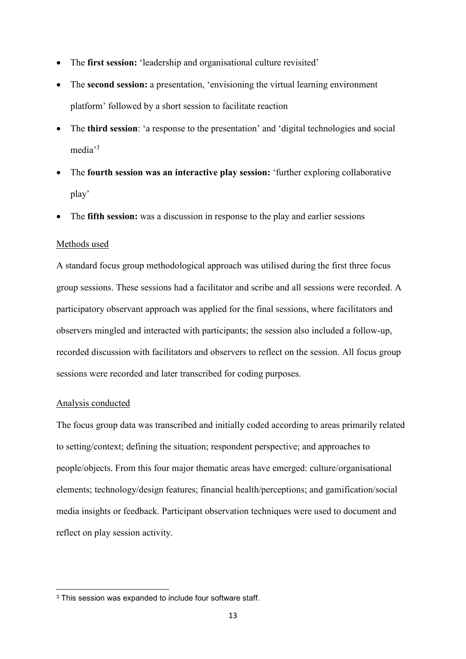- The **first session:** 'leadership and organisational culture revisited'
- The **second session:** a presentation, 'envisioning the virtual learning environment platform' followed by a short session to facilitate reaction
- The **third session**: 'a response to the presentation' and 'digital technologies and social media'<sup>3</sup>
- The **fourth session was an interactive play session:** 'further exploring collaborative play'
- The **fifth session:** was a discussion in response to the play and earlier sessions

#### Methods used

A standard focus group methodological approach was utilised during the first three focus group sessions. These sessions had a facilitator and scribe and all sessions were recorded. A participatory observant approach was applied for the final sessions, where facilitators and observers mingled and interacted with participants; the session also included a follow-up, recorded discussion with facilitators and observers to reflect on the session. All focus group sessions were recorded and later transcribed for coding purposes.

#### Analysis conducted

1

The focus group data was transcribed and initially coded according to areas primarily related to setting/context; defining the situation; respondent perspective; and approaches to people/objects. From this four major thematic areas have emerged: culture/organisational elements; technology/design features; financial health/perceptions; and gamification/social media insights or feedback. Participant observation techniques were used to document and reflect on play session activity.

<sup>&</sup>lt;sup>3</sup> This session was expanded to include four software staff.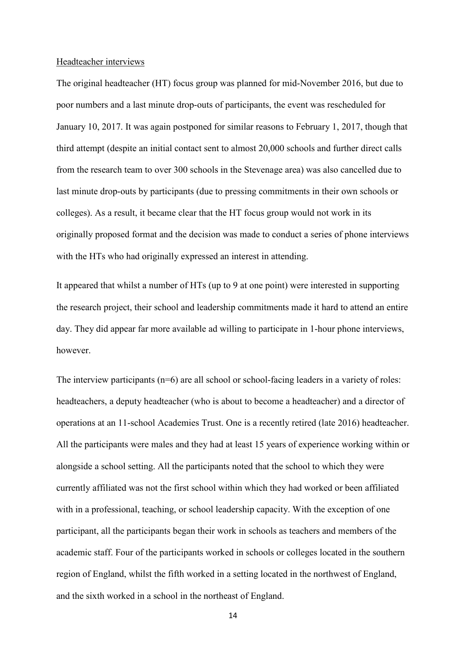#### Headteacher interviews

The original headteacher (HT) focus group was planned for mid-November 2016, but due to poor numbers and a last minute drop-outs of participants, the event was rescheduled for January 10, 2017. It was again postponed for similar reasons to February 1, 2017, though that third attempt (despite an initial contact sent to almost 20,000 schools and further direct calls from the research team to over 300 schools in the Stevenage area) was also cancelled due to last minute drop-outs by participants (due to pressing commitments in their own schools or colleges). As a result, it became clear that the HT focus group would not work in its originally proposed format and the decision was made to conduct a series of phone interviews with the HTs who had originally expressed an interest in attending.

It appeared that whilst a number of HTs (up to 9 at one point) were interested in supporting the research project, their school and leadership commitments made it hard to attend an entire day. They did appear far more available ad willing to participate in 1-hour phone interviews, however.

The interview participants  $(n=6)$  are all school or school-facing leaders in a variety of roles: headteachers, a deputy headteacher (who is about to become a headteacher) and a director of operations at an 11-school Academies Trust. One is a recently retired (late 2016) headteacher. All the participants were males and they had at least 15 years of experience working within or alongside a school setting. All the participants noted that the school to which they were currently affiliated was not the first school within which they had worked or been affiliated with in a professional, teaching, or school leadership capacity. With the exception of one participant, all the participants began their work in schools as teachers and members of the academic staff. Four of the participants worked in schools or colleges located in the southern region of England, whilst the fifth worked in a setting located in the northwest of England, and the sixth worked in a school in the northeast of England.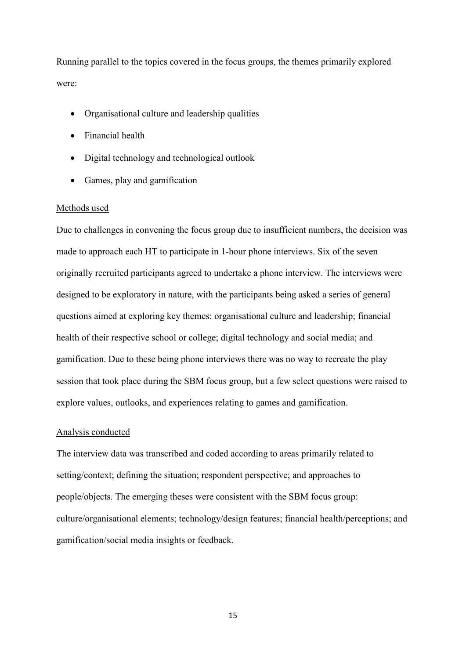Running parallel to the topics covered in the focus groups, the themes primarily explored were:

- Organisational culture and leadership qualities
- Financial health
- Digital technology and technological outlook
- Games, play and gamification

### Methods used

Due to challenges in convening the focus group due to insufficient numbers, the decision was made to approach each HT to participate in 1-hour phone interviews. Six of the seven originally recruited participants agreed to undertake a phone interview. The interviews were designed to be exploratory in nature, with the participants being asked a series of general questions aimed at exploring key themes: organisational culture and leadership; financial health of their respective school or college; digital technology and social media; and gamification. Due to these being phone interviews there was no way to recreate the play session that took place during the SBM focus group, but a few select questions were raised to explore values, outlooks, and experiences relating to games and gamification.

## Analysis conducted

The interview data was transcribed and coded according to areas primarily related to setting/context; defining the situation; respondent perspective; and approaches to people/objects. The emerging theses were consistent with the SBM focus group: culture/organisational elements; technology/design features; financial health/perceptions; and gamification/social media insights or feedback.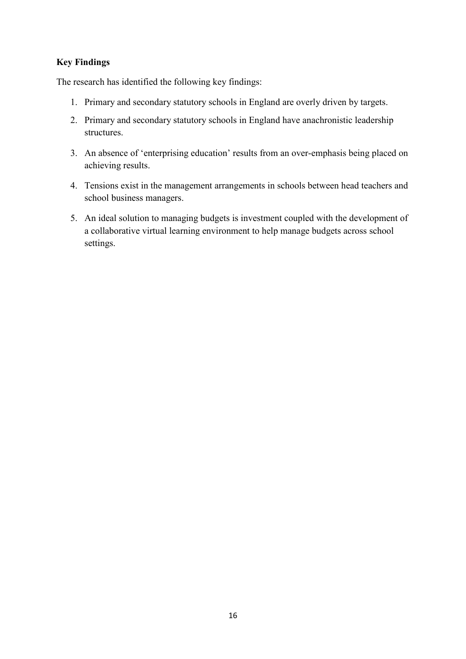## **Key Findings**

The research has identified the following key findings:

- 1. Primary and secondary statutory schools in England are overly driven by targets.
- 2. Primary and secondary statutory schools in England have anachronistic leadership structures.
- 3. An absence of 'enterprising education' results from an over-emphasis being placed on achieving results.
- 4. Tensions exist in the management arrangements in schools between head teachers and school business managers.
- 5. An ideal solution to managing budgets is investment coupled with the development of a collaborative virtual learning environment to help manage budgets across school settings.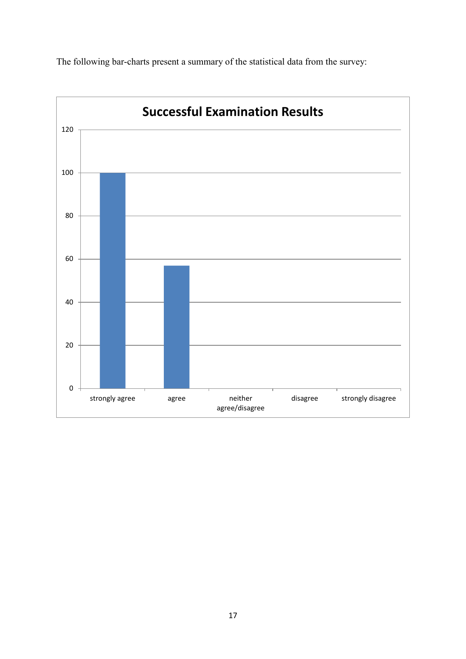

The following bar-charts present a summary of the statistical data from the survey: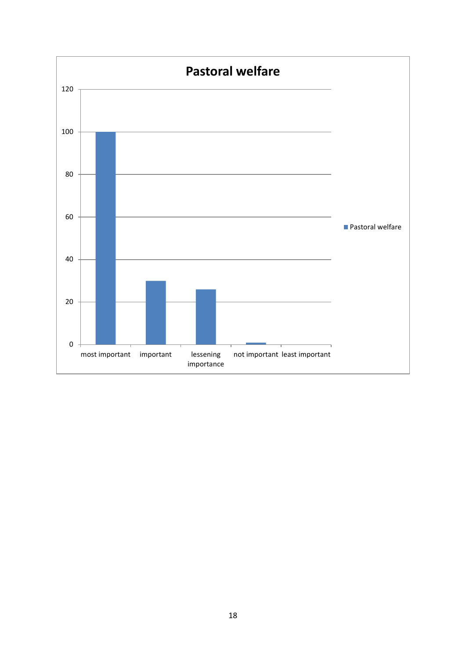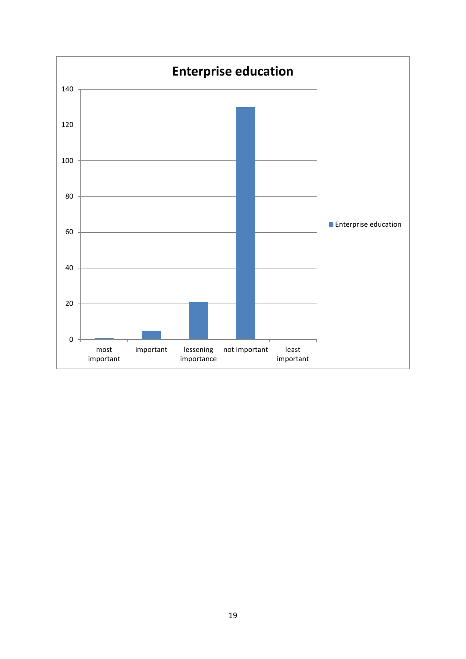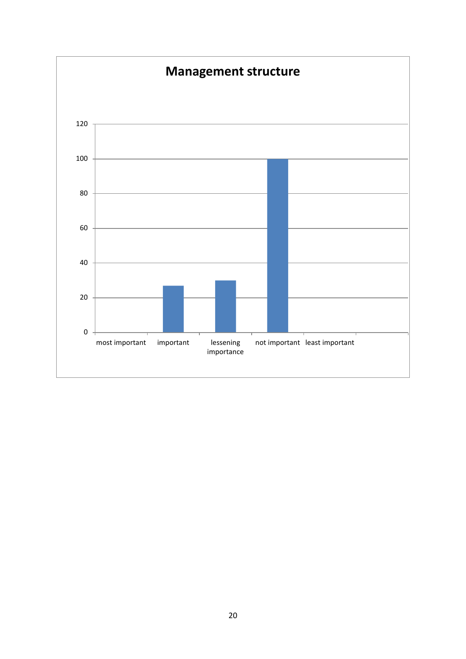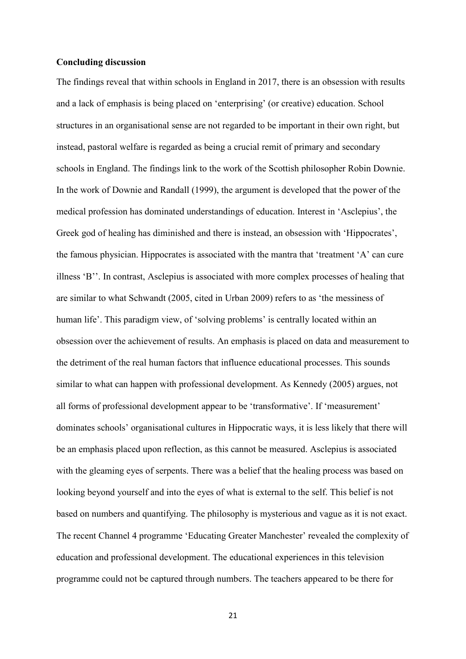### **Concluding discussion**

The findings reveal that within schools in England in 2017, there is an obsession with results and a lack of emphasis is being placed on 'enterprising' (or creative) education. School structures in an organisational sense are not regarded to be important in their own right, but instead, pastoral welfare is regarded as being a crucial remit of primary and secondary schools in England. The findings link to the work of the Scottish philosopher Robin Downie. In the work of Downie and Randall (1999), the argument is developed that the power of the medical profession has dominated understandings of education. Interest in 'Asclepius', the Greek god of healing has diminished and there is instead, an obsession with 'Hippocrates', the famous physician. Hippocrates is associated with the mantra that 'treatment 'A' can cure illness 'B''. In contrast, Asclepius is associated with more complex processes of healing that are similar to what Schwandt (2005, cited in Urban 2009) refers to as 'the messiness of human life'. This paradigm view, of 'solving problems' is centrally located within an obsession over the achievement of results. An emphasis is placed on data and measurement to the detriment of the real human factors that influence educational processes. This sounds similar to what can happen with professional development. As Kennedy (2005) argues, not all forms of professional development appear to be 'transformative'. If 'measurement' dominates schools' organisational cultures in Hippocratic ways, it is less likely that there will be an emphasis placed upon reflection, as this cannot be measured. Asclepius is associated with the gleaming eyes of serpents. There was a belief that the healing process was based on looking beyond yourself and into the eyes of what is external to the self. This belief is not based on numbers and quantifying. The philosophy is mysterious and vague as it is not exact. The recent Channel 4 programme 'Educating Greater Manchester' revealed the complexity of education and professional development. The educational experiences in this television programme could not be captured through numbers. The teachers appeared to be there for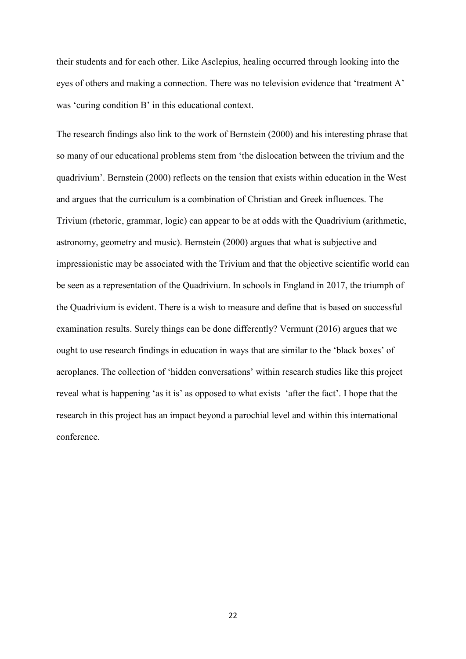their students and for each other. Like Asclepius, healing occurred through looking into the eyes of others and making a connection. There was no television evidence that 'treatment A' was 'curing condition B' in this educational context.

The research findings also link to the work of Bernstein (2000) and his interesting phrase that so many of our educational problems stem from 'the dislocation between the trivium and the quadrivium'. Bernstein (2000) reflects on the tension that exists within education in the West and argues that the curriculum is a combination of Christian and Greek influences. The Trivium (rhetoric, grammar, logic) can appear to be at odds with the Quadrivium (arithmetic, astronomy, geometry and music). Bernstein (2000) argues that what is subjective and impressionistic may be associated with the Trivium and that the objective scientific world can be seen as a representation of the Quadrivium. In schools in England in 2017, the triumph of the Quadrivium is evident. There is a wish to measure and define that is based on successful examination results. Surely things can be done differently? Vermunt (2016) argues that we ought to use research findings in education in ways that are similar to the 'black boxes' of aeroplanes. The collection of 'hidden conversations' within research studies like this project reveal what is happening 'as it is' as opposed to what exists 'after the fact'. I hope that the research in this project has an impact beyond a parochial level and within this international conference.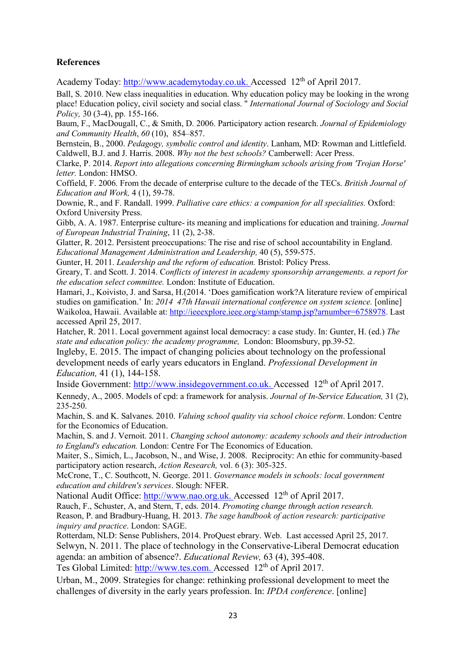## **References**

Academy Today: [http://www.academytoday.co.uk.](http://www.academytoday.co.uk/) Accessed 12<sup>th</sup> of April 2017.

Ball, S. 2010. New class inequalities in education. Why education policy may be looking in the wrong place! Education policy, civil society and social class. " *International Journal of Sociology and Social Policy,* 30 (3-4), pp. 155-166.

Baum, F., MacDougall, C., & Smith, D. 2006. Participatory action research. *Journal of Epidemiology and Community Health*, *60* (10), 854–857.

Bernstein, B., 2000. *Pedagogy, symbolic control and identity*. Lanham, MD: Rowman and Littlefield. Caldwell, B.J. and J. Harris. 2008. *Why not the best schools?* Camberwell: Acer Press.

Clarke, P. 2014. *Report into allegations concerning Birmingham schools arising from 'Trojan Horse' letter.* London: HMSO.

Coffield, F. 2006. From the decade of enterprise culture to the decade of the TECs. *British Journal of Education and Work,* 4 (1), 59-78.

Downie, R., and F. Randall. 1999. *Palliative care ethics: a companion for all specialities.* Oxford: Oxford University Press.

Gibb, A. A. 1987. Enterprise culture- its meaning and implications for education and training. *Journal of European Industrial Training*, 11 (2), 2-38.

Glatter, R. 2012. Persistent preoccupations: The rise and rise of school accountability in England. *Educational Management Administration and Leadership,* 40 (5), 559-575.

Gunter, H. 2011. *Leadership and the reform of education.* Bristol: Policy Press.

Greary, T. and Scott. J. 2014. C*onflicts of interest in academy sponsorship arrangements. a report for the education select committee.* London: Institute of Education.

Hamari, J., Koivisto, J. and Sarsa, H.(2014. 'Does gamification work?A literature review of empirical studies on gamification.' In: *2014 47th Hawaii international conference on system science.* [online] Waikoloa, Hawaii. Available at: [http://ieeexplore.ieee.org/stamp/stamp.jsp?arnumber=6758978.](http://ieeexplore.ieee.org/stamp/stamp.jsp?arnumber=6758978) Last accessed April 25, 2017.

Hatcher, R. 2011. Local government against local democracy: a case study. In: Gunter, H. (ed.) *The state and education policy: the academy programme,* London: Bloomsbury, pp.39-52.

Ingleby, E. 2015. The impact of changing policies about technology on the professional development needs of early years educators in England. *Professional Development in Education,* 41 (1), 144-158.

Inside Government: [http://www.insidegovernment.co.uk.](http://www.insidegovernment.co.uk/) Accessed 12th of April 2017.

Kennedy, A., 2005. Models of cpd: a framework for analysis. *Journal of In-Service Education,* 31 (2), 235-250.

Machin, S. and K. Salvanes. 2010. *Valuing school quality via school choice reform*. London: Centre for the Economics of Education.

Machin, S. and J. Vernoit. 2011. *Changing school autonomy: academy schools and their introduction to England's education.* London: Centre For The Economics of Education.

Maiter, S., Simich, L., Jacobson, N., and Wise, J. 2008. Reciprocity: An ethic for community-based participatory action research, *Action Research,* vol. 6 (3): 305-325.

McCrone, T., C. Southcott, N. George. 2011. *Governance models in schools: local government education and children's services*. Slough: NFER.

National Audit Office: [http://www.nao.org.uk.](http://www.nao.org.uk/) Accessed 12<sup>th</sup> of April 2017.

Rauch, F., Schuster, A, and Stern, T, eds. 2014. *Promoting change through action research.*  Reason, P. and Bradbury-Huang, H. 2013. *The sage handbook of action research: participative inquiry and practice*. London: SAGE.

Rotterdam, NLD: Sense Publishers, 2014. ProQuest ebrary. Web. Last accessed April 25, 2017. Selwyn, N. 2011. The place of technology in the Conservative-Liberal Democrat education agenda: an ambition of absence?. *Educational Review,* 63 (4), 395-408.

Tes Global Limited: [http://www.tes.com.](http://www.tes.com/) Accessed 12<sup>th</sup> of April 2017.

Urban, M., 2009. Strategies for change: rethinking professional development to meet the challenges of diversity in the early years profession. In: *IPDA conference*. [online]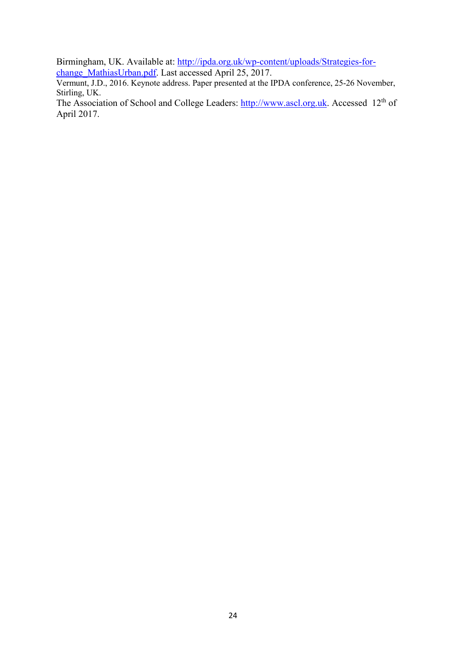Birmingham, UK. Available at: [http://ipda.org.uk/wp-content/uploads/Strategies-for](http://ipda.org.uk/wp-content/uploads/Strategies-for-change_MathiasUrban.pdf)[change\\_MathiasUrban.pdf.](http://ipda.org.uk/wp-content/uploads/Strategies-for-change_MathiasUrban.pdf) Last accessed April 25, 2017.

Vermunt, J.D., 2016. Keynote address. Paper presented at the IPDA conference, 25-26 November, Stirling, UK.

The Association of School and College Leaders: [http://www.ascl.org.uk.](http://www.ascl.org.uk/) Accessed 12<sup>th</sup> of April 2017.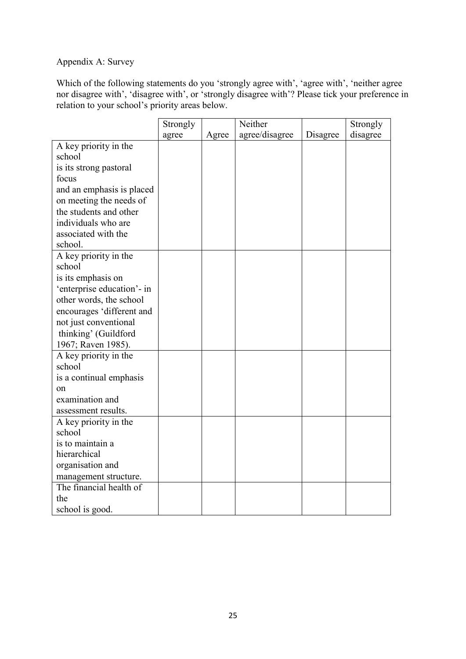# Appendix A: Survey

Which of the following statements do you 'strongly agree with', 'agree with', 'neither agree nor disagree with', 'disagree with', or 'strongly disagree with'? Please tick your preference in relation to your school's priority areas below.

|                            | Strongly |       | Neither        |          | Strongly |
|----------------------------|----------|-------|----------------|----------|----------|
|                            | agree    | Agree | agree/disagree | Disagree | disagree |
| A key priority in the      |          |       |                |          |          |
| school                     |          |       |                |          |          |
| is its strong pastoral     |          |       |                |          |          |
| focus                      |          |       |                |          |          |
| and an emphasis is placed  |          |       |                |          |          |
| on meeting the needs of    |          |       |                |          |          |
| the students and other     |          |       |                |          |          |
| individuals who are        |          |       |                |          |          |
| associated with the        |          |       |                |          |          |
| school.                    |          |       |                |          |          |
| A key priority in the      |          |       |                |          |          |
| school                     |          |       |                |          |          |
| is its emphasis on         |          |       |                |          |          |
| 'enterprise education'- in |          |       |                |          |          |
| other words, the school    |          |       |                |          |          |
| encourages 'different and  |          |       |                |          |          |
| not just conventional      |          |       |                |          |          |
| thinking' (Guildford       |          |       |                |          |          |
| 1967; Raven 1985).         |          |       |                |          |          |
| A key priority in the      |          |       |                |          |          |
| school                     |          |       |                |          |          |
| is a continual emphasis    |          |       |                |          |          |
| on                         |          |       |                |          |          |
| examination and            |          |       |                |          |          |
| assessment results.        |          |       |                |          |          |
| A key priority in the      |          |       |                |          |          |
| school                     |          |       |                |          |          |
| is to maintain a           |          |       |                |          |          |
| hierarchical               |          |       |                |          |          |
| organisation and           |          |       |                |          |          |
| management structure.      |          |       |                |          |          |
| The financial health of    |          |       |                |          |          |
| the                        |          |       |                |          |          |
| school is good.            |          |       |                |          |          |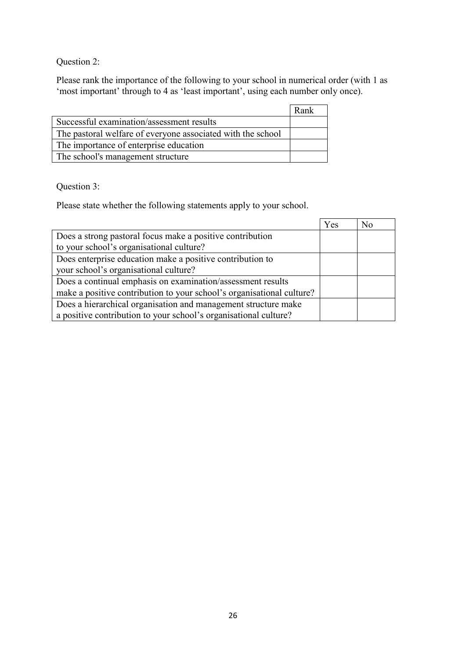Question 2:

Please rank the importance of the following to your school in numerical order (with 1 as 'most important' through to 4 as 'least important', using each number only once).

|                                                             | Rank |
|-------------------------------------------------------------|------|
| Successful examination/assessment results                   |      |
| The pastoral welfare of everyone associated with the school |      |
| The importance of enterprise education                      |      |
| The school's management structure                           |      |

Question 3:

Please state whether the following statements apply to your school.

|                                                                       | Yes | No |
|-----------------------------------------------------------------------|-----|----|
| Does a strong pastoral focus make a positive contribution             |     |    |
| to your school's organisational culture?                              |     |    |
| Does enterprise education make a positive contribution to             |     |    |
| your school's organisational culture?                                 |     |    |
| Does a continual emphasis on examination/assessment results           |     |    |
| make a positive contribution to your school's organisational culture? |     |    |
| Does a hierarchical organisation and management structure make        |     |    |
| a positive contribution to your school's organisational culture?      |     |    |